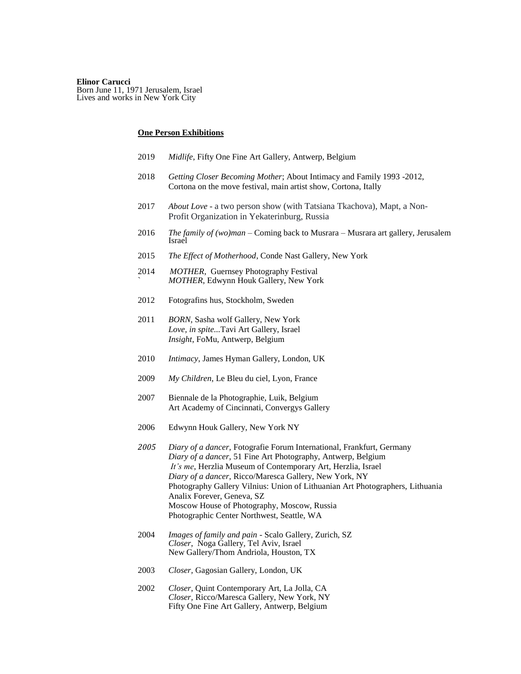#### **Elinor Carucci**

Born June 11, 1971 Jerusalem, Israel Lives and works in New York City

#### **One Person Exhibitions**

- 2019 *Midlife*, Fifty One Fine Art Gallery, Antwerp, Belgium
- 2018 *Getting Closer Becoming Mother*; About Intimacy and Family 1993 -2012, Cortona on the move festival, main artist show, Cortona, Itally
- 2017 *About Love* a two person show (with Tatsiana Tkachova), Mapt, a Non-Profit Organization in Yekaterinburg, Russia
- 2016 *The family of (wo)man* Coming back to Musrara Musrara art gallery, Jerusalem Israel
- 2015 *The Effect of Motherhood*, Conde Nast Gallery, New York
- 2014 *MOTHER*, Guernsey Photography Festival ` *MOTHER*, Edwynn Houk Gallery, New York
- 2012 Fotografins hus, Stockholm, Sweden
- 2011 *BORN,* Sasha wolf Gallery, New York *Love, in spite...*Tavi Art Gallery, Israel *Insight*, FoMu, Antwerp, Belgium
- 2010 *Intimacy*, James Hyman Gallery, London, UK
- 2009 *My Children*, Le Bleu du ciel, Lyon, France
- 2007 Biennale de la Photographie, Luik, Belgium Art Academy of Cincinnati, Convergys Gallery
- 2006 Edwynn Houk Gallery, New York NY
- *2005 Diary of a dancer,* Fotografie Forum International, Frankfurt, Germany *Diary of a dancer,* 51 Fine Art Photography, Antwerp, Belgium *It's me*, Herzlia Museum of Contemporary Art, Herzlia, Israel *Diary of a dancer,* Ricco/Maresca Gallery, New York, NY Photography Gallery Vilnius: Union of Lithuanian Art Photographers, Lithuania Analix Forever, Geneva, SZ Moscow House of Photography, Moscow, Russia Photographic Center Northwest, Seattle, WA
- 2004 *Images of family and pain -* Scalo Gallery*,* Zurich, SZ *Closer*, Noga Gallery*,* Tel Aviv, Israel New Gallery/Thom Andriola, Houston, TX
- 2003 *Closer,* Gagosian Gallery, London, UK
- 2002 *Closer*, Quint Contemporary Art, La Jolla, CA *Closer,* Ricco/Maresca Gallery, New York, NY Fifty One Fine Art Gallery, Antwerp, Belgium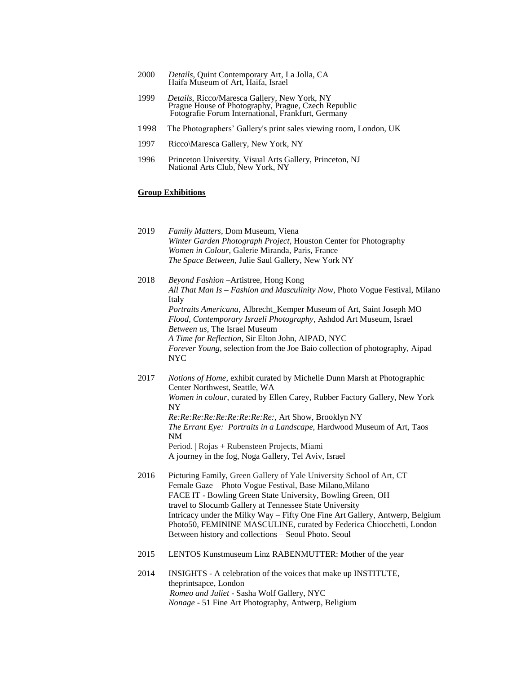- 2000 *Details,* Quint Contemporary Art, La Jolla, CA Haifa Museum of Art, Haifa, Israel
- 1999 *Details,* Ricco/Maresca Gallery, New York, NY Prague House of Photography, Prague, Czech Republic Fotografie Forum International, Frankfurt, Germany
- 1998 The Photographers' Gallery's print sales viewing room, London, UK
- 1997 Ricco\Maresca Gallery, New York, NY
- 1996 Princeton University, Visual Arts Gallery, Princeton, NJ National Arts Club, New York, NY

### **Group Exhibitions**

2019 *Family Matters*, Dom Museum, Viena *Winter Garden Photograph Project*, Houston Center for Photography *Women in Colour*, Galerie Miranda, Paris, France *The Space Between*, Julie Saul Gallery, New York NY 2018 *Beyond Fashion –*Artistree, Hong Kong *All That Man Is – Fashion and Masculinity Now*, Photo Vogue Festival, Milano Italy *Portraits Americana*, Albrecht\_Kemper Museum of Art, Saint Joseph MO *Flood, Contemporary Israeli Photography*, Ashdod Art Museum, Israel *Between us*, The Israel Museum *A Time for Reflection*, Sir Elton John, AIPAD, NYC *Forever Young*, selection from the Joe Baio collection of photography, Aipad NYC 2017 *Notions of Home*, exhibit curated by Michelle Dunn Marsh at Photographic Center Northwest, Seattle, WA *Women in colour*, curated by Ellen Carey, Rubber Factory Gallery, New York NY *Re:Re:Re:Re:Re:Re:Re:Re:Re:,* Art Show, Brooklyn NY *The Errant Eye: Portraits in a Landscape,* Hardwood Museum of Art, Taos NM Period. | Rojas + Rubensteen Projects, Miami A journey in the fog, Noga Gallery, Tel Aviv, Israel 2016 Picturing Family, Green Gallery of Yale University School of Art, CT Female Gaze – Photo Vogue Festival, Base Milano,Milano FACE IT - Bowling Green State University, Bowling Green, OH travel to Slocumb Gallery at Tennessee State University Intricacy under the Milky Way – Fifty One Fine Art Gallery, Antwerp, Belgium Photo50, FEMININE MASCULINE, curated by Federica Chiocchetti, London Between history and collections – Seoul Photo. Seoul 2015 [LENTOS Kunstmuseum Linz](https://www.facebook.com/lentoslinz/) RABENMUTTER: Mother of the year 2014 INSIGHTS - A celebration of the voices that make up INSTITUTE, theprintsapce, London *Romeo and Juliet* - Sasha Wolf Gallery, NYC

*Nonage -* 51 Fine Art Photography, Antwerp, Beligium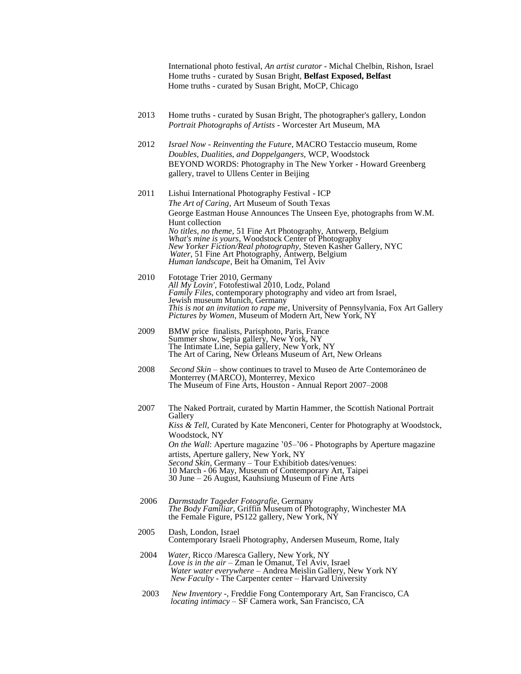International photo festival, *An artist curator* - Michal Chelbin, Rishon, Israel Home truths - curated by Susan Bright, **Belfast Exposed, Belfast** Home truths - curated by Susan Bright, MoCP, Chicago

- 2013 Home truths curated by Susan Bright, The photographer's gallery, London *Portrait Photographs of Artists -* Worcester Art Museum, MA
- 2012 *Israel Now - Reinventing the Future*, MACRO Testaccio museum, Rome *Doubles, Dualities, and Doppelgangers,* WCP, Woodstock BEYOND WORDS: Photography in The New Yorker - Howard Greenberg gallery, travel to Ullens Center in Beijing
- 2011 Lishui International Photography Festival ICP *The Art of Caring*, Art Museum of South Texas George Eastman House Announces The Unseen Eye, photographs from W.M. Hunt collection *No titles, no theme,* 51 Fine Art Photography, Antwerp, Belgium *What's mine is yours*, Woodstock Center of Photography *New Yorker Fiction/Real photography,* Steven Kasher Gallery, NYC *Water*, 51 Fine Art Photography, Antwerp, Belgium *Human landscape*, Beit ha Omanim, Tel Aviv
- 2010 Fototage Trier 2010, Germany *All My Lovin'*, Fotofestiwal 2010, Lodz, Poland *Family Files*, contemporary photography and video art from Israel, Jewish museum Munich, Germany *This is not an invitation to rape me*, University of Pennsylvania, Fox Art Gallery *Pictures by Women*, Museum of Modern Art, New York, NY
- 2009 BMW price finalists, Parisphoto, Paris, France Summer show, Sepia gallery, New York, NY The Intimate Line, Sepia gallery, New York, NY The Art of Caring, New Orleans Museum of Art, New Orleans
- 2008 *Second Skin*  show continues to travel to Museo de Arte Contemoráneo de Monterrey (MARCO), Monterrey, Mexico The Museum of Fine Arts, Houston - Annual Report 2007–2008
- 2007 The Naked Portrait, curated by Martin Hammer, the Scottish National Portrait **Gallery** *Kiss & Tell,* Curated by Kate Menconeri, Center for Photography at Woodstock, Woodstock, NY *On the Wall*: Aperture magazine '05–'06 - Photographs by Aperture magazine artists, Aperture gallery, New York, NY *Second Skin*, Germany – Tour Exhibitiob dates/venues: 10 March - 06 May, Museum of Contemporary Art, Taipei 30 June – 26 August, Kauhsiung Museum of Fine Arts
- 2006 *Darmstadtr Tageder Fotografie*, Germany *The Body Familiar,* Griffin Museum of Photography, Winchester MA the Female Figure, PS122 gallery, New York, NY
- 2005 Dash, London, Israel Contemporary Israeli Photography, Andersen Museum, Rome, Italy
- 2004 *Water*, Ricco /Maresca Gallery, New York, NY *Love is in the air –* Zman le Omanut, Tel Aviv, Israel *Water water everywhere –* Andrea Meislin Gallery, New York NY *New Faculty -* The Carpenter center – Harvard University
- 2003 *New Inventory -,* Freddie Fong Contemporary Art, San Francisco, CA *locating intimacy –* SF Camera work, San Francisco, CA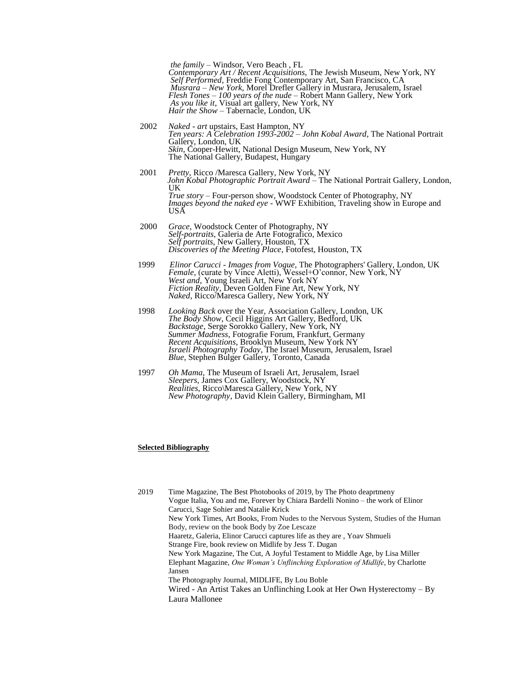*the family –* Windsor, Vero Beach , FL *Contemporary Art / Recent Acquisitions,* The Jewish Museum, New York, NY *Self Performed,* Freddie Fong Contemporary Art, San Francisco, CA *Musrara – New York,* Morel Drefler Gallery in Musrara, Jerusalem, Israel *Flesh Tones – 100 years of the nude –* Robert Mann Gallery, New York *As you like it*, Visual art gallery, New York, NY *Hair the Show* – Tabernacle, London, UK

- 2002 *Naked - art* upstairs, East Hampton, NY *Ten years: A Celebration 1993-2002 – John Kobal Award*, The National Portrait Gallery, London, UK *Skin,* Cooper-Hewitt, National Design Museum, New York, NY The National Gallery, Budapest, Hungary
- 2001 *Pretty*, Ricco /Maresca Gallery, New York, NY  *John Kobal Photographic Portrait Award –* The National Portrait Gallery, London, UK *True story –* Four-person show, Woodstock Center of Photography, NY *Images beyond the naked eye -* WWF Exhibition, Traveling show in Europe and USA
- 2000 *Grace,* Woodstock Center of Photography, NY *Self-portraits,* Galeria de Arte Fotografico, Mexico *Self portraits*, New Gallery, Houston, TX *Discoveries of the Meeting Place*, Fotofest, Houston, TX
- 1999 *Elinor Carucci - Images from Vogue*, The Photographers' Gallery, London, UK *Female,* (curate by Vince Aletti), Wessel+O'connor, New York, NY *West and*, Young Israeli Art, New York NY *Fiction Reality*, Deven Golden Fine Art, New York, NY *Naked*, Ricco/Maresca Gallery, New York, NY
- 1998 *Looking Back* over the Year, Association Gallery, London, UK  *The Body Show*, Cecil Higgins Art Gallery, Bedford, UK *Backstage*, Serge Sorokko Gallery, New York, NY *Summer Madness*, Fotografie Forum, Frankfurt, Germany *Recent Acquisitions*, Brooklyn Museum, New York NY *Israeli Photography Today*, The Israel Museum, Jerusalem, Israel *Blue*, Stephen Bulger Gallery, Toronto, Canada
- 1997 *Oh Mama*, The Museum of Israeli Art, Jerusalem, Israel *Sleepers*, James Cox Gallery, Woodstock, NY *Realities*, Ricco\Maresca Gallery, New York, NY *New Photography*, David Klein Gallery, Birmingham, MI

#### **Selected Bibliography**

2019 Time Magazine, The Best Photobooks of 2019, by The Photo deaprtmeny Vogue Italia, You and me, Forever by Chiara Bardelli Nonino – the work of Elinor Carucci, Sage Sohier and Natalie Krick New York Times, Art Books, From Nudes to the Nervous System, Studies of the Human Body, review on the book Body by Zoe Lescaze Haaretz, Galeria, Elinor Carucci captures life as they are , Yoav Shmueli Strange Fire, book review on Midlife by Jess T. Dugan New York Magazine, The Cut, A Joyful Testament to Middle Age, by Lisa Miller Elephant Magazine, *One Woman's Unflinching Exploration of Midlife*, by Charlotte Jansen The Photography Journal, MIDLIFE, By Lou Boble Wired - An Artist Takes an Unflinching Look at Her Own Hysterectomy – By Laura Mallonee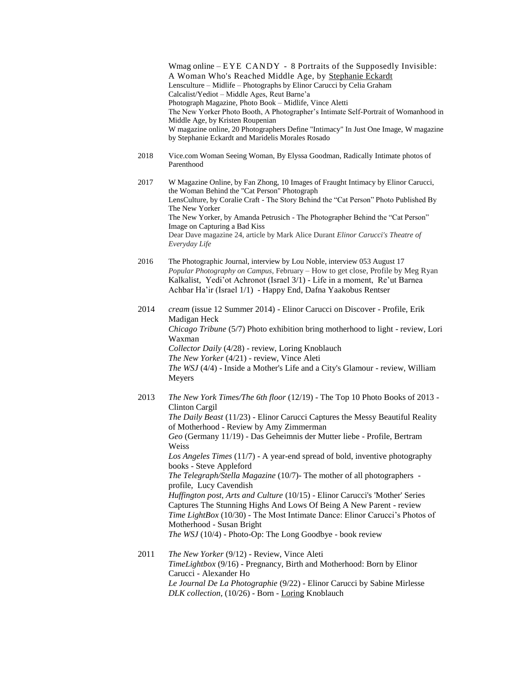Wmag online – EYE CANDY - 8 Portraits of the Supposedly Invisible: A Woman Who's Reached Middle Age, by [Stephanie Eckardt](https://www.wmagazine.com/contributor/stephanie-eckardt) Lensculture – Midlife – Photographs by Elinor Carucci by Celia Graham Calcalist/Yediot – Middle Ages, Reut Barne'a Photograph Magazine, Photo Book – Midlife, Vince Aletti The New Yorker Photo Booth, A Photographer's Intimate Self-Portrait of Womanhood in Middle Age, by Kristen Roupenian W magazine online, 20 Photographers Define "Intimacy" In Just One Image, W magazine by Stephanie Eckardt and Maridelis Morales Rosado 2018 Vice.com Woman Seeing Woman, By Elyssa Goodman, Radically Intimate photos of Parenthood 2017 W Magazine Online, by Fan Zhong, 10 Images of Fraught Intimacy by Elinor Carucci, the Woman Behind the "Cat Person" Photograph LensCulture, by Coralie Craft - The Story Behind the "Cat Person" Photo Published By The New Yorker The New Yorker, by Amanda Petrusich - The Photographer Behind the "Cat Person" Image on Capturing a Bad Kiss Dear Dave magazine 24, article by Mark Alice Durant *Elinor Carucci's Theatre of Everyday Life* 2016 The Photographic Journal, interview by Lou Noble, interview 053 August 17 *Popular Photography on Campus,* February – How to get close, Profile by Meg Ryan Kalkalist, Yedi'ot Achronot (Israel 3/1) - Life in a moment, Re'ut Barnea Achbar Ha'ir (Israel 1/1) - Happy End, Dafna Yaakobus Rentser 2014 *cream* (issue 12 Summer 2014) - Elinor Carucci on Discover - Profile, Erik Madigan Heck *Chicago Tribune* (5/7) Photo exhibition bring motherhood to light - review, Lori Waxman *Collector Daily* (4/28) - review, Loring Knoblauch *The New Yorker* (4/21) - review, Vince Aleti *The WSJ* (4/4) - Inside a Mother's Life and a City's Glamour - review, William Meyers 2013 *The New York Times/The 6th floor* (12/19) - The Top 10 Photo Books of 2013 - Clinton Cargil *The Daily Beast* (11/23) - Elinor Carucci Captures the Messy Beautiful Reality of Motherhood - Review by Amy Zimmerman *Geo* (Germany 11/19) - Das Geheimnis der Mutter liebe - Profile, Bertram Weiss *Los Angeles Times* (11/7) - A year-end spread of bold, inventive photography

books - Steve Appleford *The Telegraph/Stella Magazine* (10/7)- The mother of all photographers profile, Lucy Cavendish *Huffington post, Arts and Culture* (10/15) - Elinor Carucci's 'Mother' Series Captures The Stunning Highs And Lows Of Being A New Parent - review *Time LightBox* (10/30) - The Most Intimate Dance: Elinor Carucci's Photos of Motherhood - Susan Bright

*The WSJ* (10/4) - Photo-Op: The Long Goodbye - book review

2011 *The New Yorker* (9/12) - Review, Vince Aleti *TimeLightbox* (9/16) - Pregnancy, Birth and Motherhood: Born by Elinor Carucci - Alexander Ho *Le Journal De La Photographie* (9/22) - Elinor Carucci by Sabine Mirlesse *DLK collection*, (10/26) - Born - [Loring](https://collectordaily.com/author/loring-knoblauch/) Knoblauch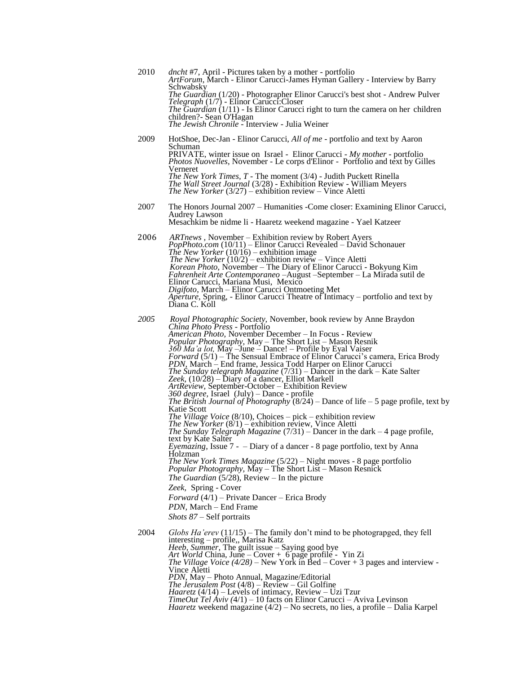| 2010 | <i>dncht</i> #7, April - Pictures taken by a mother - portfolio<br>ArtForum, March - Elinor Carucci-James Hyman Gallery - Interview by Barry<br>Schwabsky<br><i>The Guardian</i> (1/20) - Photographer Elinor Carucci's best shot - Andrew Pulver<br>Telegraph (1/7) - Elinor Carucci: Closer<br><i>The Guardian</i> $(1/11)$ - Is Elinor Carucci right to turn the camera on her children<br>children? - Sean O'Hagan<br>The Jewish Chronile - Interview - Julia Weiner                                                                                                                                                                                                                                                                                                                                                                                                                                                                                                                                                                                                                                                                                                                                                                                                                                                                                                                                                                                                                                            |
|------|---------------------------------------------------------------------------------------------------------------------------------------------------------------------------------------------------------------------------------------------------------------------------------------------------------------------------------------------------------------------------------------------------------------------------------------------------------------------------------------------------------------------------------------------------------------------------------------------------------------------------------------------------------------------------------------------------------------------------------------------------------------------------------------------------------------------------------------------------------------------------------------------------------------------------------------------------------------------------------------------------------------------------------------------------------------------------------------------------------------------------------------------------------------------------------------------------------------------------------------------------------------------------------------------------------------------------------------------------------------------------------------------------------------------------------------------------------------------------------------------------------------------|
| 2009 | HotShoe, Dec-Jan - Elinor Carucci, All of me - portfolio and text by Aaron<br>Schuman<br><b>PRIVATE, winter issue on Israel - Elinor Carucci - My mother - portfolio</b><br><i>Photos Nuovelles, November - Le corps d'Elinor - Portfolio and têxt by Gilles</i><br>Verneret<br><i>The New York Times, T</i> - The moment (3/4) - Judith Puckett Rinella<br>The Wall Street Journal (3/28) - Exhibition Review - William Meyers<br><i>The New Yorker</i> $(3/27)$ – exhibition review – Vince Aletti                                                                                                                                                                                                                                                                                                                                                                                                                                                                                                                                                                                                                                                                                                                                                                                                                                                                                                                                                                                                                |
| 2007 | The Honors Journal 2007 – Humanities - Come closer: Examining Elinor Carucci,<br><b>Audrey Lawson</b><br>Mesachkim be nidme li - Haaretz weekend magazine - Yael Katzeer                                                                                                                                                                                                                                                                                                                                                                                                                                                                                                                                                                                                                                                                                                                                                                                                                                                                                                                                                                                                                                                                                                                                                                                                                                                                                                                                            |
| 2006 | <i>ARTnews</i> , November – Exhibition review by Robert Ayers<br><i>PopPhoto.com</i> (10/11) – Elinor Carucci Revealed – David Schonauer<br>The New Yorker $(10/16)$ – exhibition image<br>The New Yorker $(10/2)$ – exhibition review – Vince Aletti<br>Korean Photo, November – The Diary of Elinor Carucci - Bokyung Kim<br>Fahrenheit Arte Contemporaneo - August - September - La Mirada sutil de<br>Elinor Carucci, Mariana Musi, Mexico<br><i>Digifoto</i> , March – Elinor Carucci Ontmoeting Met<br><i>Aperture, Spring, - Elinor Carucci Theatre of Intimacy – portfolio and text by</i><br>Diana C. Koll                                                                                                                                                                                                                                                                                                                                                                                                                                                                                                                                                                                                                                                                                                                                                                                                                                                                                                 |
| 2005 | Royal Photographic Society, November, book review by Anne Braydon<br><i>China Photo Press - Portfolio</i><br>American Photo, November December - In Focus - Review<br>Popular Photography, May - The Short List - Mason Resnik<br>360 Ma'a lot, May - June - Dance! - Profile by Eyal Vaiser<br><i>Forward</i> (5/1) – The Sensual Embrace of Elinor Carucci's camera, Erica Brody<br>PDN, March – End frame, Jessica Todd Harper on Elinor Carucci<br><i>The Sunday telegraph Magazine</i> $(7/31)$ – Dancer in the dark – Kate Salter<br>Zeek, (10/28) - Diary of a dancer, Elliot Markell<br><i>ArtReview, September-October – Exhibition Review</i><br>360 degree, Israel (July) - Dance - profile<br>The British Journal of Photography $(8/24)$ – Dance of life – 5 page profile, text by<br>Katie Scott<br>The Village Voice $(8/10)$ , Choices – pick – exhibition review<br><i>The New Yorker</i> $(8/1)$ – exhibition review, Vince Aletti<br><i>The Sunday Telegraph Magazine</i> $(7/31)$ – Dancer in the dark – 4 page profile,<br>text by Kate Salter<br><i>Eyemazing</i> , Issue $7 -$ Diary of a dancer - 8 page portfolio, text by Anna<br>Holzman<br>The New York Times Magazine (5/22) – Night moves - 8 page portfolio Popular Photography, May – The Short List – Mason Resnick<br><i>The Guardian</i> $(5/28)$ , Review – In the picture<br><i>Zeek</i> , Spring - Cover<br><i>Forward</i> (4/1) – Private Dancer – Erica Brody<br>PDN, March – End Frame<br><i>Shots</i> 87 – Self portraits |
| 2004 | Globs Ha'erev $(11/15)$ – The family don't mind to be photograpged, they fell<br>interesting – profile,, Marisa Katz<br>Heeb, Summer, The guilt issue - Saying good bye<br>Art World China, June – Cover + 6 page profile - Yin Zi<br><i>The Village Voice</i> (4/28) – New York in Bed – Cover + 3 pages and interview -<br>Vince Aletti<br>PDN, May – Photo Annual, Magazine/Editorial<br><i>The Jerusalem Post</i> $(4/8)$ – Review – Gil Golfine<br><i>Haaretz</i> ( $4/14$ ) – Levels of intimacy, Review – Uzi Tzur<br>$TimeOut Tel Aviv (4/1) - 10 facts on Elimor Carucci - Aviva Levinson$<br><i>Haaretz</i> weekend magazine $(4/2)$ – No secrets, no lies, a profile – Dalia Karpel                                                                                                                                                                                                                                                                                                                                                                                                                                                                                                                                                                                                                                                                                                                                                                                                                      |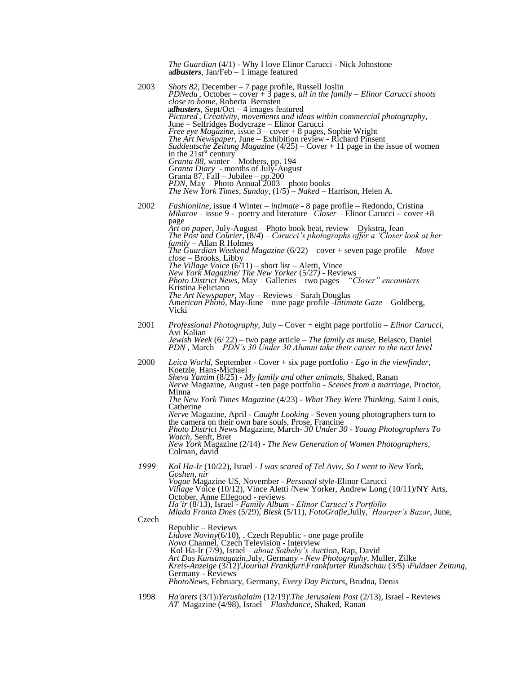|       | <i>The Guardian</i> (4/1) - Why I love Elinor Carucci - Nick Johnstone<br>$adbusters$ , Jan/Feb – 1 image featured                                                                                                                                                                                                                                                                                                                                                                                                                                                                                                                                                                                                                                                                                                                                                                                                                |
|-------|-----------------------------------------------------------------------------------------------------------------------------------------------------------------------------------------------------------------------------------------------------------------------------------------------------------------------------------------------------------------------------------------------------------------------------------------------------------------------------------------------------------------------------------------------------------------------------------------------------------------------------------------------------------------------------------------------------------------------------------------------------------------------------------------------------------------------------------------------------------------------------------------------------------------------------------|
| 2003  | Shots 82, December – 7 page profile, Russell Joslin<br><i>PDNedu</i> , October – cover $\frac{3}{4}$ page s, all in the family – Elinor Carucci shoots<br><i>close to home</i> , Roberta Bernsten<br>adbusters, Sept/Oct $-4$ images featured<br>Pictured, Creativity, movements and ideas within commercial photography,<br>June – Selfridges Bodycraze – Elinor Carucci<br><i>Free eye Magazine, issue</i> $3 - cover + 8$ pages, Sophie Wright<br>The Art Newspaper, June - Exhibition review - Richard Pinsent<br><i>Suddeutsche Zeitung Magazine</i> (4/25) – Cover + 11 page in the issue of women<br>in the 21st <sup>st</sup> century<br>Granta 88, winter - Mothers, pp. 194<br><i>Granta Diary</i> - months of July-August<br>Granta 87, Fall $-$ Jubilee $-$ pp. 200<br><i>PDN</i> , $\text{May} - \text{Photo Annual}^22003 - \text{photo books}$<br>The New York Times, Sunday, $(1/5)$ – Naked – Harrison, Helen A. |
| 2002  | <i>Fashionline</i> , issue 4 Winter – <i>intimate</i> - 8 page profile – Redondo, Cristina<br><i>Mikarov</i> – issue 9 - poetry and literature – <i>Closer</i> – Elinor Carucci - cover +8<br>page<br><i>Art on paper</i> , July-August – Photo book beat, review – Dykstra, Jean<br>The Post and Courier, (8/4) – Carucci's photographs offer a 'Closer look at her<br>$family - Allan R$ Holmes<br>The Guardian Weekend Magazine $(6/22)$ – cover + seven page profile – Move<br>$close$ – Brooks, Libby<br><i>The Village Voice</i> $(6/11)$ – short list – Aletti, Vince<br>New York Magazine/ The New Yorker (5/27) - Reviews<br><i>Photo District News, May – Galleries – two pages – "Closer" encounters –</i><br>Kristina Feliciano<br>The Art Newspaper, May - Reviews - Sarah Douglas<br>American Photo, May-June – nine page profile - <i>Intimate Gaze</i> – Goldberg,<br>Vicki                                       |
| 2001  | <i>Professional Photography, July – Cover + eight page portfolio – Elinor Carucci,</i><br>Avi Kalian<br>Jewish Week (6/22) - two page article - The family as muse, Belasco, Daniel<br>PDN, March – PDN's 30 Under 30 Alumni take their career to the next level                                                                                                                                                                                                                                                                                                                                                                                                                                                                                                                                                                                                                                                                  |
| 2000  | Leica World, September - Cover + six page portfolio - Ego in the viewfinder,<br>Koetzle, Hans-Michael<br>Sheva Yamim (8/25) - My family and other animals, Shaked, Ranan<br>Nerve Magazine, August - ten page portfolio - Scenes from a marriage, Proctor,<br>Minna<br>The New York Times Magazine (4/23) - What They Were Thinking, Saint Louis,<br>Catherine<br>Nerve Magazine, April - Caught Looking - Seven young photographers turn to<br>the camera on their own bare souls, Prose, Francine<br>Photo District News Magazine, March-30 Under 30 - Young Photographers To<br>Watch, Senft, Bret<br>New York Magazine (2/14) - The New Generation of Women Photographers,<br>Colman, david                                                                                                                                                                                                                                   |
| 1999  | Kol Ha-Ir (10/22), Israel - I was scared of Tel Aviv, So I went to New York,<br>Goshen, nir<br>Vogue Magazine US, November - Personal style-Elinor Carucci<br>Village Voice (10/12), Vince Aletti /New Yorker, Andrew Long (10/11)/NY Arts,<br>October, Anne Ellegood - reviews<br>Ha'ir (8/13), Israel - Family Album - Elinor Carucci's Portfolio<br>Mlada Fronta Dnes (5/29), Blesk (5/11), FotoGrafie, Jully, Haarper's Bazar, June,                                                                                                                                                                                                                                                                                                                                                                                                                                                                                          |
| Czech | Republic – Reviews<br>Lidove Noviny(6/10), , Czech Republic - one page profile<br>Nova Channel, Czech Television - Interview<br>Kol Ha-Ir (7/9), Israel - about Sotheby's Auction, Rap, David<br>Art Das Kunstmagazin, July, Germany - New Photography, Muller, Zilke<br>Kreis-Anzeige $(3/12)$ Journal Frankfurt Frankfurter Rundschau $(3/5)$ Fuldaer Zeitung,<br>Germany - Reviews<br>PhotoNews, February, Germany, Every Day Picturs, Brudna, Denis                                                                                                                                                                                                                                                                                                                                                                                                                                                                           |
| 1998  | Ha'arets $(3/1)$ \Yerushalaim $(12/19)$ \The Jerusalem Post $(2/13)$ , Israel - Reviews                                                                                                                                                                                                                                                                                                                                                                                                                                                                                                                                                                                                                                                                                                                                                                                                                                           |

*AT* Magazine (4/98), Israel – *Flashdance,* Shaked, Ranan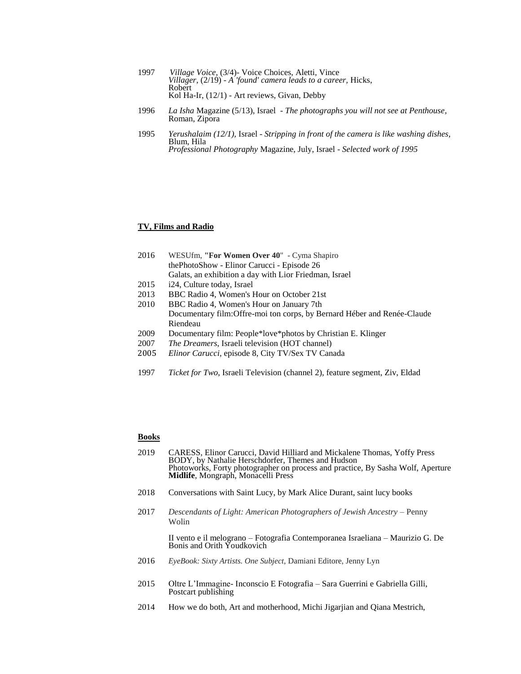| 1997 | <i>Village Voice, (3/4)</i> Voice Choices, Aletti, Vince      |
|------|---------------------------------------------------------------|
|      | Villager, (2/19) - A 'found' camera leads to a career, Hicks, |
|      | Robert                                                        |
|      | Kol Ha-Ir, $(12/1)$ - Art reviews, Givan, Debby               |

- 1996 *La Isha* Magazine (5/13), Israel *The photographs you will not see at Penthouse*, Roman, Zipora
- 1995 *Yerushalaim (12/1),* Israel *Stripping in front of the camera is like washing dishes,*  Blum, Hila *Professional Photography* Magazine, July, Israel - *Selected work of 1995*

### **TV, Films and Radio**

| 2016 | WESUfm, "For Women Over 40" - Cyma Shapiro             |
|------|--------------------------------------------------------|
|      | the PhotoShow - Elinor Carucci - Episode 26            |
|      | Galats, an exhibition a day with Lior Friedman, Israel |
| 2015 | i24, Culture today, Israel                             |

- 
- 2013 BBC Radio 4, Women's Hour on October 21st
- 2010 BBC Radio 4, Women's Hour on January 7th Documentary film:Offre-moi ton corps, by Bernard Héber and Renée-Claude Riendeau
- 2009 Documentary film: People\*love\*photos by Christian E. Klinger
- 2007 *The Dreamers*, Israeli television (HOT channel)
- 2005 *Elinor Carucci*, episode 8, City TV/Sex TV Canada
- 1997 *Ticket for Two*, Israeli Television (channel 2), feature segment, Ziv, Eldad

# **Books**

- 2019 CARESS, Elinor Carucci, David Hilliard and Mickalene Thomas, Yoffy Press BODY, by Nathalie Herschdorfer, Themes and Hudson Photoworks, Forty photographer on process and practice, By Sasha Wolf, Aperture **Midlife**, Mongraph, Monacelli Press
- 2018 Conversations with Saint Lucy, by Mark Alice Durant, saint lucy books
- 2017 *Descendants of Light: American Photographers of Jewish Ancestry –* Penny Wolin

II vento e il melograno – Fotografia Contemporanea Israeliana – Maurizio G. De Bonis and Orith Youdkovich

- 2016 *EyeBook: Sixty Artists. One Subject,* Damiani Editore, Jenny Lyn
- 2015 Oltre L'Immagine- Inconscio E Fotografia Sara Guerrini e Gabriella Gilli, Postcart publishing
- 2014 How we do both, Art and motherhood, Michi Jigarjian and Qiana Mestrich,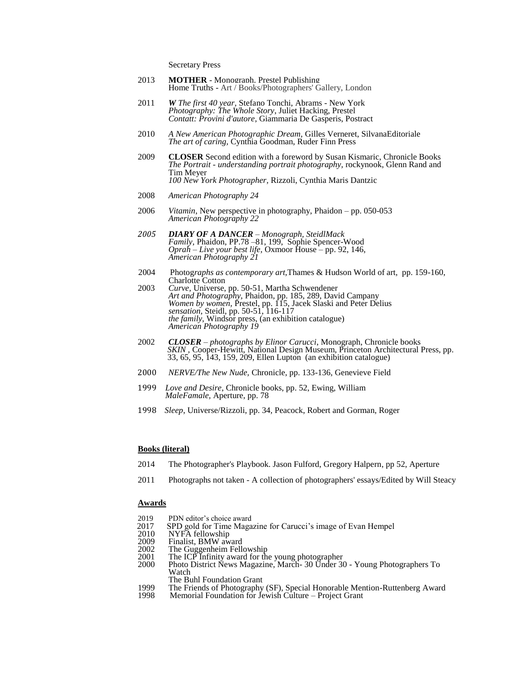Secretary Press

- 2013 MOTHER Monograph, Prestel Publishing Home Truths - Art / Books/Photographers' Gallery, London
- 2011 *W The first 40 year,* Stefano Tonchi, Abrams New York *Photography: The Whole Story*, Juliet Hacking, Prestel *Contatt: Provini d'autore*, Giammaria De Gasperis, Postract
- 2010 *A New American Photographic Dream,* Gilles Verneret, SilvanaEditoriale *The art of caring,* Cynthia Goodman, Ruder Finn Press
- 2009 **CLOSER** Second edition with a foreword by [Susan Kismaric,](https://en.wikipedia.org/w/index.php?title=Susan_Kismaric&action=edit&redlink=1) Chronicle Books *The Portrait - understanding portrait photography,* rockynook, Glenn Rand and Tim Meyer *100 New York Photographer,* Rizzoli, Cynthia Maris Dantzic
- 2008 *American Photography 24*
- 2006 *Vitamin*, New perspective in photography, Phaidon pp. 050-053 *American Photography 22*
- *2005 DIARY OF A DANCER – Monograph, SteidlMack Family,* Phaidon, PP.78 –81, 199, Sophie Spencer-Wood *Oprah – Live your best life,* Oxmoor House – pp. 92, 146, *American Photography 21*
- 2004 Photog*raphs as contemporary art,*Thames & Hudson World of art, pp. 159-160, Charlotte Cotton
- 2003 *Curve,* Universe, pp. 50-51, Martha Schwendener *Art and Photography,* Phaidon, pp. 185, 289, David Campany *Women by women,* Prestel, pp. 115, Jacek Slaski and Peter Delius *sensation,* Steidl, pp. 50-51, 116-117 *the family,* Windsor press, (an exhibition catalogue) *American Photography 19*
- 2002 *CLOSER – photographs by Elinor Carucci*, Monograph, Chronicle books *SKIN ,* Cooper-Hewitt, National Design Museum, Princeton Architectural Press, pp. 33, 65, 95, 143, 159, 209, Ellen Lupton (an exhibition catalogue)
- 2000 *NERVE/The New Nude,* Chronicle, pp. 133-136, Genevieve Field
- 1999 *Love and Desire*, Chronicle books, pp. 52, Ewing, William *MaleFamale,* Aperture, pp. 78
- 1998 *Sleep*, Universe/Rizzoli, pp. 34, Peacock, Robert and Gorman, Roger

# **Books (literal)**

- 2014 The Photographer's Playbook. Jason Fulford, Gregory Halpern, pp 52, Aperture
- 2011 Photographs not taken A collection of photographers' essays/Edited by Will Steacy

### **Awards**

- 2019 PDN editor's choice award<br>2017 SPD gold for Time Maga
- 2017 SPD gold for Time Magazine for Carucci's image of Evan Hempel 2010 NYFA fellowship
- 2010 NYFA fellowship<br>2009 Finalist, BMW aw
- 2009 Finalist, BMW award<br>2002 The Guggenheim Fell
- 2002 The Guggenheim Fellowship
- 2001 The ICP Infinity award for the young photographer
- 2000 Photo District News Magazine, March- 30 Under 30 Young Photographers To Watch
	- The Buhl Foundation Grant
- 1999 The Friends of Photography (SF), Special Honorable Mention-Ruttenberg Award<br>1998 Memorial Foundation for Jewish Culture Project Grant
- Memorial Foundation for Jewish Culture Project Grant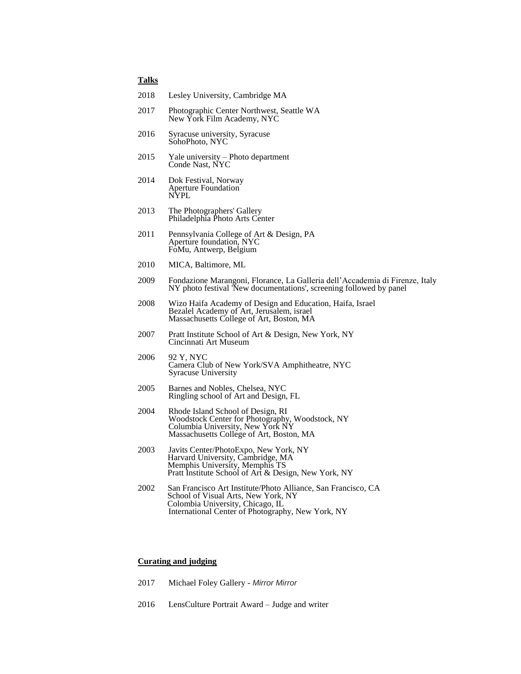# **Talks**

| 2017 | Photographic Center Northwest, Seattle WA<br>New York Film Academy, NYC |
|------|-------------------------------------------------------------------------|
|      |                                                                         |

- 2016 Syracuse university, Syracuse SohoPhoto, NYC
- 2015 Yale university Photo department Conde Nast, NYC

2018 Lesley University, Cambridge MA

- 2014 Dok Festival, Norway Aperture Foundation NYPL
- 2013 The Photographers' Gallery Philadelphia Photo Arts Center
- 2011 Pennsylvania College of Art & Design, PA Aperture foundation, NYC FoMu, Antwerp, Belgium
- 2010 MICA, Baltimore, ML
- 2009 Fondazione Marangoni, Florance, La Galleria dell'Accademia di Firenze, Italy NY photo festival 'New documentations', screening followed by panel
- 2008 Wizo Haifa Academy of Design and Education, Haifa, Israel Bezalel Academy of Art, Jerusalem, israel Massachusetts College of Art, Boston, MA
- 2007 Pratt Institute School of Art & Design, New York, NY Cincinnati Art Museum
- 2006 92 Y, NYC Camera Club of New York/SVA Amphitheatre, NYC Syracuse University
- 2005 Barnes and Nobles, Chelsea, NYC Ringling school of Art and Design, FL
- 2004 Rhode Island School of Design, RI Woodstock Center for Photography, Woodstock, NY Columbia University, New York NY Massachusetts College of Art, Boston, MA
- 2003 Javits Center/PhotoExpo, New York, NY Harvard University, Cambridge, MA Memphis University, Memphis TS Pratt Institute School of Art & Design, New York, NY
- 2002 San Francisco Art Institute/Photo Alliance, San Francisco, CA School of Visual Arts, New York, NY Colombia University, Chicago, IL International Center of Photography, New York, NY

## **Curating and judging**

- 2017 Michael Foley Gallery *Mirror Mirror*
- 2016 LensCulture Portrait Award Judge and writer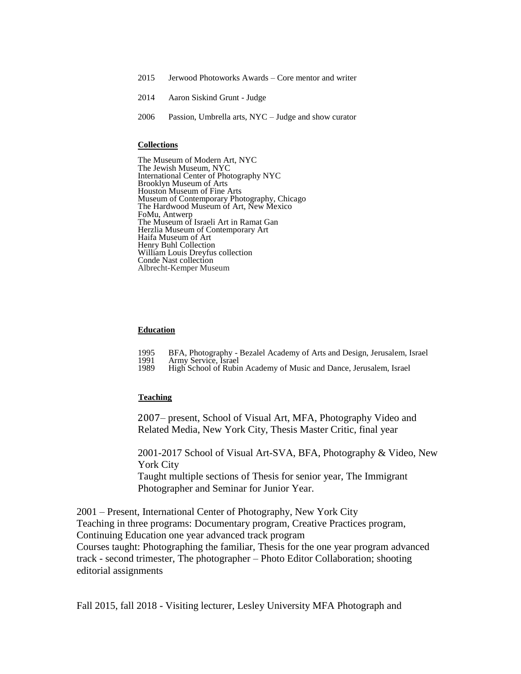- 2015 Jerwood Photoworks Awards Core mentor and writer
- 2014 Aaron Siskind Grunt Judge
- 2006 Passion, Umbrella arts, NYC Judge and show curator

## **Collections**

The Museum of Modern Art, NYC The Jewish Museum, NYC International Center of Photography NYC Brooklyn Museum of Arts Houston Museum of Fine Arts Museum of Contemporary Photography, Chicago The Hardwood Museum of Art, New Mexico FoMu, Antwerp The Museum of Israeli Art in Ramat Gan Herzlia Museum of Contemporary Art Haifa Museum of Art Henry Buhl Collection William Louis Dreyfus collection Conde Nast collection Albrecht-Kemper Museum

#### **Education**

- 1995 BFA, Photography Bezalel Academy of Arts and Design, Jerusalem, Israel
- 1991 Army Service, Israel<br>1989 High School of Rubin
- High School of Rubin Academy of Music and Dance, Jerusalem, Israel

### **Teaching**

2007– present, School of Visual Art, MFA, Photography Video and Related Media, New York City, Thesis Master Critic, final year

2001-2017 School of Visual Art-SVA, BFA, Photography & Video, New York City Taught multiple sections of Thesis for senior year, The Immigrant

Photographer and Seminar for Junior Year.

2001 – Present, International Center of Photography, New York City Teaching in three programs: Documentary program, Creative Practices program, Continuing Education one year advanced track program Courses taught: Photographing the familiar, Thesis for the one year program advanced track - second trimester, The photographer – Photo Editor Collaboration; shooting editorial assignments

Fall 2015, fall 2018 - Visiting lecturer, Lesley University MFA Photograph and